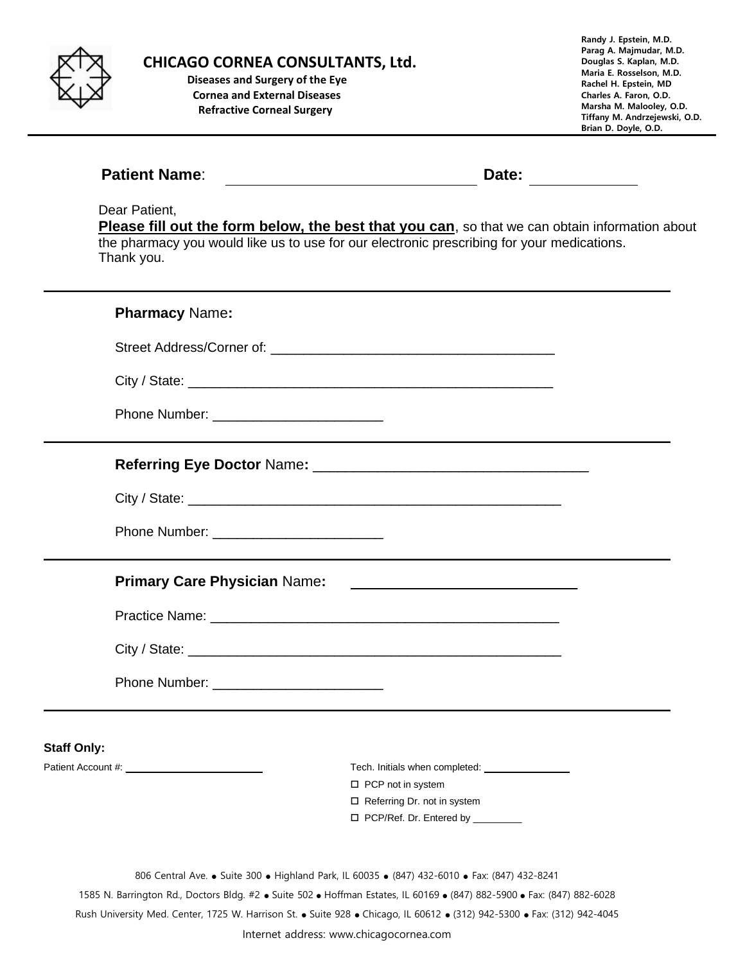

**CHICAGO CORNEA CONSULTANTS, Ltd.**

 **Diseases and Surgery of the Eye Cornea and External Diseases Refractive Corneal Surgery**

**Randy J. Epstein, M.D. Parag A. Majmudar, M.D. Douglas S. Kaplan, M.D. Maria E. Rosselson, M.D. Rachel H. Epstein, MD Charles A. Faron, O.D. Marsha M. Malooley, O.D. Tiffany M. Andrzejewski, O.D. Brian D. Doyle, O.D.**

| <b>Patient Name:</b>                      | Date:                                                                                                                                                                                                                    |
|-------------------------------------------|--------------------------------------------------------------------------------------------------------------------------------------------------------------------------------------------------------------------------|
| Dear Patient,<br>Thank you.               | Please fill out the form below, the best that you can, so that we can obtain information about<br>the pharmacy you would like us to use for our electronic prescribing for your medications.                             |
| <b>Pharmacy Name:</b>                     |                                                                                                                                                                                                                          |
|                                           |                                                                                                                                                                                                                          |
|                                           |                                                                                                                                                                                                                          |
| Phone Number: ___________________________ |                                                                                                                                                                                                                          |
|                                           |                                                                                                                                                                                                                          |
|                                           |                                                                                                                                                                                                                          |
|                                           |                                                                                                                                                                                                                          |
| <b>Primary Care Physician Name:</b>       |                                                                                                                                                                                                                          |
|                                           |                                                                                                                                                                                                                          |
|                                           |                                                                                                                                                                                                                          |
|                                           |                                                                                                                                                                                                                          |
| <b>Staff Only:</b>                        |                                                                                                                                                                                                                          |
|                                           |                                                                                                                                                                                                                          |
|                                           | $\Box$ PCP not in system<br>□ Referring Dr. not in system                                                                                                                                                                |
|                                           | □ PCP/Ref. Dr. Entered by ________                                                                                                                                                                                       |
|                                           | 806 Central Ave. • Suite 300 • Highland Park, IL 60035 • (847) 432-6010 • Fax: (847) 432-8241<br>1585 N. Barrington Rd., Doctors Bldg. #2 • Suite 502 • Hoffman Estates, IL 60169 • (847) 882-5900 • Fax: (847) 882-6028 |
|                                           | Rush University Med. Center, 1725 W. Harrison St. . Suite 928 . Chicago, IL 60612 . (312) 942-5300 . Fax: (312) 942-4045                                                                                                 |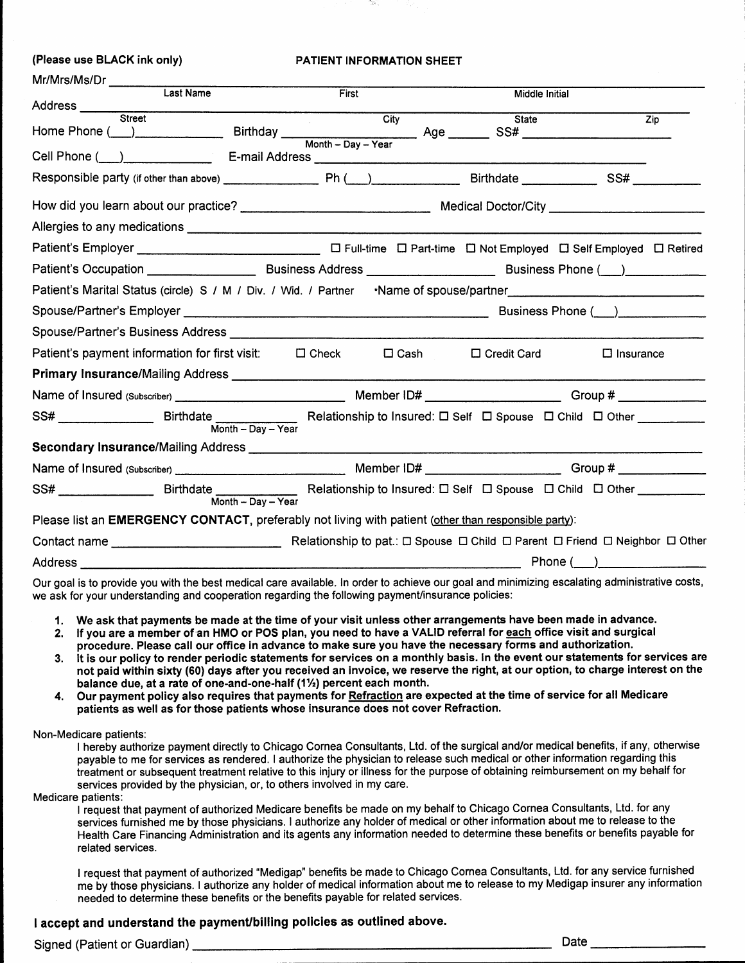| (Please use BLACK ink only)                                                                                                                                                                                                    |                                                                                 | <b>PATIENT INFORMATION SHEET</b>                                                         |                |                                                                                                                 |                                                                                                                                                                                                                                       |                  |
|--------------------------------------------------------------------------------------------------------------------------------------------------------------------------------------------------------------------------------|---------------------------------------------------------------------------------|------------------------------------------------------------------------------------------|----------------|-----------------------------------------------------------------------------------------------------------------|---------------------------------------------------------------------------------------------------------------------------------------------------------------------------------------------------------------------------------------|------------------|
| Mr/Mrs/Ms/Dr _____________                                                                                                                                                                                                     |                                                                                 |                                                                                          |                |                                                                                                                 |                                                                                                                                                                                                                                       |                  |
| Last Name                                                                                                                                                                                                                      |                                                                                 | First                                                                                    |                | Middle Initial                                                                                                  |                                                                                                                                                                                                                                       |                  |
| Address ___<br>Street                                                                                                                                                                                                          |                                                                                 | City                                                                                     |                | <b>State</b>                                                                                                    |                                                                                                                                                                                                                                       | $\overline{Zip}$ |
|                                                                                                                                                                                                                                |                                                                                 |                                                                                          |                |                                                                                                                 |                                                                                                                                                                                                                                       |                  |
|                                                                                                                                                                                                                                |                                                                                 |                                                                                          |                |                                                                                                                 |                                                                                                                                                                                                                                       |                  |
|                                                                                                                                                                                                                                |                                                                                 |                                                                                          |                |                                                                                                                 |                                                                                                                                                                                                                                       |                  |
|                                                                                                                                                                                                                                |                                                                                 |                                                                                          |                |                                                                                                                 |                                                                                                                                                                                                                                       |                  |
|                                                                                                                                                                                                                                |                                                                                 |                                                                                          |                |                                                                                                                 |                                                                                                                                                                                                                                       |                  |
|                                                                                                                                                                                                                                |                                                                                 |                                                                                          |                |                                                                                                                 |                                                                                                                                                                                                                                       |                  |
|                                                                                                                                                                                                                                |                                                                                 |                                                                                          |                |                                                                                                                 |                                                                                                                                                                                                                                       |                  |
| Patient's Marital Status (circle) S / M / Div. / Wid. / Partner · Name of spouse/partner [1989] Patient's Marital Status (circle) S / M / Div. / Wid. / Partner · · Name of spouse/partner                                     |                                                                                 |                                                                                          |                |                                                                                                                 |                                                                                                                                                                                                                                       |                  |
|                                                                                                                                                                                                                                |                                                                                 |                                                                                          |                |                                                                                                                 | Business Phone ()                                                                                                                                                                                                                     |                  |
|                                                                                                                                                                                                                                |                                                                                 |                                                                                          |                |                                                                                                                 |                                                                                                                                                                                                                                       |                  |
| Patient's payment information for first visit: □ Check                                                                                                                                                                         |                                                                                 |                                                                                          | $\square$ Cash | □ Credit Card                                                                                                   | $\Box$ Insurance                                                                                                                                                                                                                      |                  |
| Primary Insurance/Mailing Address Manual According to the Control of the Control of the Control of the Control of the Control of the Control of the Control of the Control of the Control of the Control of the Control of the |                                                                                 |                                                                                          |                |                                                                                                                 |                                                                                                                                                                                                                                       |                  |
|                                                                                                                                                                                                                                |                                                                                 |                                                                                          |                |                                                                                                                 |                                                                                                                                                                                                                                       |                  |
| SS# _________________                                                                                                                                                                                                          | $Month - Day - Year$                                                            |                                                                                          |                |                                                                                                                 |                                                                                                                                                                                                                                       |                  |
|                                                                                                                                                                                                                                |                                                                                 |                                                                                          |                |                                                                                                                 |                                                                                                                                                                                                                                       |                  |
|                                                                                                                                                                                                                                |                                                                                 |                                                                                          |                |                                                                                                                 |                                                                                                                                                                                                                                       |                  |
| SS#                                                                                                                                                                                                                            | Birthdate ______________<br>$Month - Day - Year$                                | Relationship to Insured: $\square$ Self $\square$ Spouse $\square$ Child $\square$ Other |                |                                                                                                                 |                                                                                                                                                                                                                                       |                  |
| Please list an EMERGENCY CONTACT, preferably not living with patient (other than responsible party):                                                                                                                           |                                                                                 |                                                                                          |                |                                                                                                                 |                                                                                                                                                                                                                                       |                  |
|                                                                                                                                                                                                                                |                                                                                 |                                                                                          |                |                                                                                                                 |                                                                                                                                                                                                                                       |                  |
|                                                                                                                                                                                                                                |                                                                                 |                                                                                          |                |                                                                                                                 | Phone( )                                                                                                                                                                                                                              |                  |
|                                                                                                                                                                                                                                | the contract of the contract of the contract of the contract of the contract of |                                                                                          |                | the contract of the contract of the contract of the contract of the contract of the contract of the contract of | $\mathbf{r}$ and $\mathbf{r}$ are the second contributions of the second contribution of the second contribution of the second contribution of the second contribution of the second contribution of the second contribution of the s |                  |

Our goal is to provide you with the best medical care available. In order to achieve our goal and minimizing escalating administrative costs, we ask for your understanding and cooperation regarding the following payment/insurance policies:

- 1. We ask that payments be made at the time of your visit unless other arrangements have been made in advance.
- 2. If you are a member of an HMO or POS plan, you need to have a VALID referral for each office visit and surgical procedure. Please call our office in advance to make sure you have the necessary forms and authorization.
- It is our policy to render periodic statements for services on a monthly basis. In the event our statements for services are 3. not paid within sixty (60) days after you received an invoice, we reserve the right, at our option, to charge interest on the balance due, at a rate of one-and-one-half (11/2) percent each month.
- Our payment policy also requires that payments for Refraction are expected at the time of service for all Medicare 4. patients as well as for those patients whose insurance does not cover Refraction.

Non-Medicare patients:

I hereby authorize payment directly to Chicago Cornea Consultants, Ltd. of the surgical and/or medical benefits, if any, otherwise payable to me for services as rendered. I authorize the physician to release such medical or other information regarding this treatment or subsequent treatment relative to this injury or illness for the purpose of obtaining reimbursement on my behalf for services provided by the physician, or, to others involved in my care.

Medicare patients:

I request that payment of authorized Medicare benefits be made on my behalf to Chicago Cornea Consultants, Ltd. for any services furnished me by those physicians. I authorize any holder of medical or other information about me to release to the Health Care Financing Administration and its agents any information needed to determine these benefits or benefits payable for related services.

I request that payment of authorized "Medigap" benefits be made to Chicago Cornea Consultants, Ltd. for any service furnished me by those physicians. I authorize any holder of medical information about me to release to my Medigap insurer any information needed to determine these benefits or the benefits payable for related services.

#### I accept and understand the payment/billing policies as outlined above.

Signed (Patient or Guardian)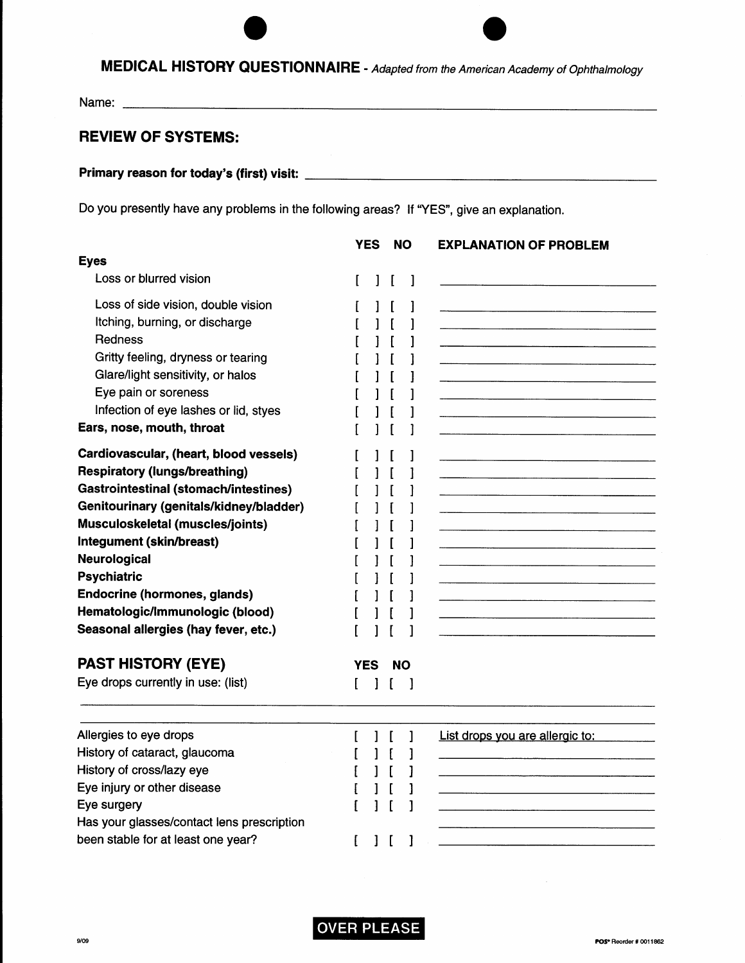# MEDICAL HISTORY QUESTIONNAIRE - Adapted from the American Academy of Ophthalmology

#### **REVIEW OF SYSTEMS:**

### 

Do you presently have any problems in the following areas? If "YES", give an explanation.

|                                              |      | <b>YES</b> |               | <b>NO</b> | <b>EXPLANATION OF PROBLEM</b>                                                   |
|----------------------------------------------|------|------------|---------------|-----------|---------------------------------------------------------------------------------|
| <b>Eyes</b>                                  |      |            |               |           |                                                                                 |
| Loss or blurred vision                       |      | 1          | $\mathbf{I}$  | 1         |                                                                                 |
| Loss of side vision, double vision           |      |            |               |           |                                                                                 |
| Itching, burning, or discharge               |      |            |               |           |                                                                                 |
| Redness                                      |      |            |               |           |                                                                                 |
| Gritty feeling, dryness or tearing           |      |            |               |           |                                                                                 |
| Glare/light sensitivity, or halos            |      |            |               |           |                                                                                 |
| Eye pain or soreness                         |      |            |               |           |                                                                                 |
| Infection of eye lashes or lid, styes        |      |            |               |           |                                                                                 |
| Ears, nose, mouth, throat                    |      |            |               |           |                                                                                 |
| Cardiovascular, (heart, blood vessels)       |      |            |               |           |                                                                                 |
| <b>Respiratory (lungs/breathing)</b>         |      |            |               |           |                                                                                 |
| <b>Gastrointestinal (stomach/intestines)</b> |      |            |               |           |                                                                                 |
| Genitourinary (genitals/kidney/bladder)      |      |            |               |           |                                                                                 |
| Musculoskeletal (muscles/joints)             |      |            |               |           |                                                                                 |
| Integument (skin/breast)                     |      |            |               |           |                                                                                 |
| Neurological                                 |      |            |               |           |                                                                                 |
| <b>Psychiatric</b>                           |      |            |               |           |                                                                                 |
| <b>Endocrine (hormones, glands)</b>          |      |            |               |           |                                                                                 |
| Hematologic/Immunologic (blood)              |      |            |               |           |                                                                                 |
| Seasonal allergies (hay fever, etc.)         |      |            |               |           |                                                                                 |
| <b>PAST HISTORY (EYE)</b>                    | YES. |            |               | <b>NO</b> |                                                                                 |
| Eye drops currently in use: (list)           | L    | 1          | $\mathfrak l$ | J         |                                                                                 |
|                                              |      |            |               |           |                                                                                 |
| Allergies to eye drops                       | L    |            |               |           | List drops you are allergic to:                                                 |
| History of cataract, glaucoma                |      |            |               |           |                                                                                 |
| History of cross/lazy eye                    |      |            |               |           |                                                                                 |
| Eye injury or other disease                  |      |            |               |           | the contract of the contract of the contract of the contract of the contract of |
| Eye surgery                                  |      |            |               |           |                                                                                 |
| Has your glasses/contact lens prescription   |      |            |               |           |                                                                                 |
| been stable for at least one year?           | ſ    |            |               | 1         |                                                                                 |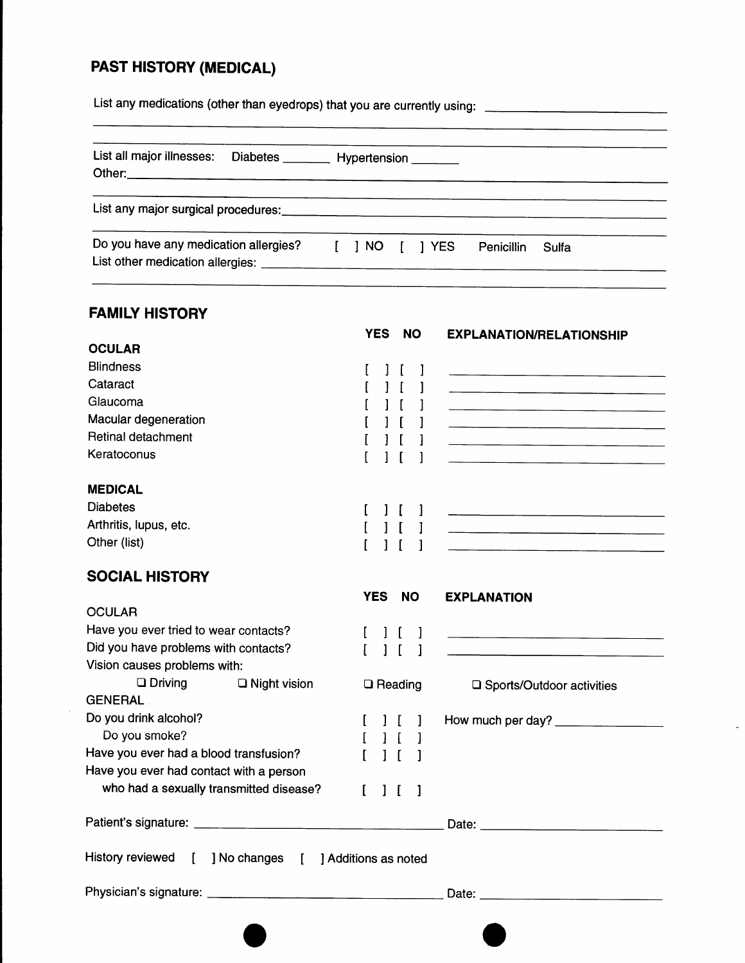## **PAST HISTORY (MEDICAL)**

List any medications (other than eyedrops) that you are currently using: \_\_\_\_\_\_\_\_\_\_\_\_\_\_\_\_\_\_\_\_\_\_\_\_\_\_\_

| List all major illnesses: Diabetes ________ Hypertension _______ |              |  |            |            |       |  |
|------------------------------------------------------------------|--------------|--|------------|------------|-------|--|
|                                                                  |              |  |            |            |       |  |
| Do you have any medication allergies?                            | $\mathbf{I}$ |  | INO [ IYES | Penicillin | Sulfa |  |

### **FAMILY HISTORY**

 $\hat{\boldsymbol{\mu}}$ 

|                                                        | <b>YES</b>                    | <b>NO</b>    | <b>EXPLANATION/RELATIONSHIP</b>                                                                                                                                                                                                      |
|--------------------------------------------------------|-------------------------------|--------------|--------------------------------------------------------------------------------------------------------------------------------------------------------------------------------------------------------------------------------------|
| <b>OCULAR</b>                                          |                               |              |                                                                                                                                                                                                                                      |
| <b>Blindness</b>                                       | $\blacksquare$                |              |                                                                                                                                                                                                                                      |
| Cataract                                               |                               |              |                                                                                                                                                                                                                                      |
| Glaucoma                                               |                               |              |                                                                                                                                                                                                                                      |
| Macular degeneration                                   |                               |              |                                                                                                                                                                                                                                      |
| Retinal detachment                                     |                               |              | <u> 1980 - Jan Barnett, amerikan basal dan berasal dalam basal dalam basal dalam basal dalam basal dalam basal da</u>                                                                                                                |
| Keratoconus                                            |                               |              | <u> 1980 - Johann John Harry Harry Harry Harry Harry Harry Harry Harry Harry Harry Harry Harry Harry Harry Harry Harry Harry Harry Harry Harry Harry Harry Harry Harry Harry Harry Harry Harry Harry Harry Harry Harry Harry Har</u> |
| <b>MEDICAL</b>                                         |                               |              |                                                                                                                                                                                                                                      |
| <b>Diabetes</b>                                        |                               |              |                                                                                                                                                                                                                                      |
| Arthritis, lupus, etc.                                 |                               |              | <u> 1980 - Johann John Stein, marwork ar y brening ar y brening ar y brening ar y brening ar y brening ar y breni</u>                                                                                                                |
| Other (list)                                           | ſ<br>1<br>I                   | L            |                                                                                                                                                                                                                                      |
| <b>SOCIAL HISTORY</b>                                  |                               |              |                                                                                                                                                                                                                                      |
|                                                        | <b>YES</b>                    | <b>NO</b>    | <b>EXPLANATION</b>                                                                                                                                                                                                                   |
| <b>OCULAR</b>                                          |                               |              |                                                                                                                                                                                                                                      |
| Have you ever tried to wear contacts?                  | $\frac{1}{2}$                 |              |                                                                                                                                                                                                                                      |
| Did you have problems with contacts?                   | $\mathbf{1}$<br>$\mathbf{r}$  | $\mathbf{1}$ |                                                                                                                                                                                                                                      |
| Vision causes problems with:                           |                               |              |                                                                                                                                                                                                                                      |
| $\Box$ Driving<br>$\Box$ Night vision                  | $\Box$ Reading                |              | □ Sports/Outdoor activities                                                                                                                                                                                                          |
| <b>GENERAL</b>                                         |                               |              |                                                                                                                                                                                                                                      |
| Do you drink alcohol?                                  | $\mathbf{I}$                  | 1            | How much per day?                                                                                                                                                                                                                    |
| Do you smoke?                                          |                               |              |                                                                                                                                                                                                                                      |
| Have you ever had a blood transfusion?                 | $1-1$                         |              |                                                                                                                                                                                                                                      |
| Have you ever had contact with a person                |                               |              |                                                                                                                                                                                                                                      |
| who had a sexually transmitted disease?                | $\mathbf{L}$<br>$\frac{1}{2}$ | $\mathbf{I}$ |                                                                                                                                                                                                                                      |
|                                                        |                               |              |                                                                                                                                                                                                                                      |
| History reviewed [ ] No changes [ ] Additions as noted |                               |              |                                                                                                                                                                                                                                      |
|                                                        |                               |              | Date: the contract of the contract of the contract of the contract of the contract of the contract of the contract of the contract of the contract of the contract of the contract of the contract of the contract of the cont       |